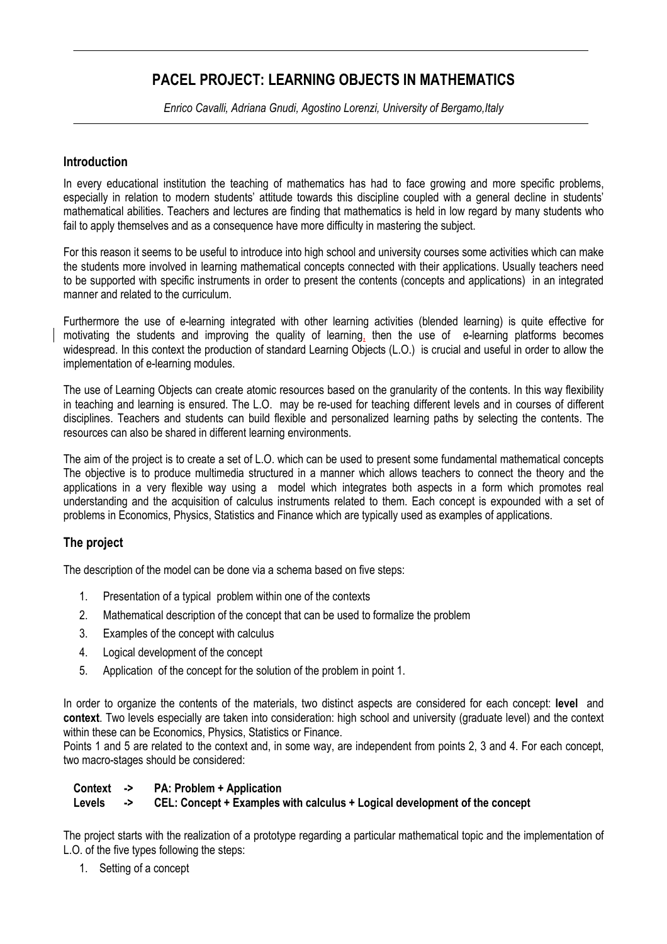# **PACEL PROJECT: LEARNING OBJECTS IN MATHEMATICS**

*Enrico Cavalli, Adriana Gnudi, Agostino Lorenzi, University of Bergamo,Italy* 

#### **Introduction**

In every educational institution the teaching of mathematics has had to face growing and more specific problems, especially in relation to modern students' attitude towards this discipline coupled with a general decline in students' mathematical abilities. Teachers and lectures are finding that mathematics is held in low regard by many students who fail to apply themselves and as a consequence have more difficulty in mastering the subject.

For this reason it seems to be useful to introduce into high school and university courses some activities which can make the students more involved in learning mathematical concepts connected with their applications. Usually teachers need to be supported with specific instruments in order to present the contents (concepts and applications) in an integrated manner and related to the curriculum.

Furthermore the use of e-learning integrated with other learning activities (blended learning) is quite effective for motivating the students and improving the quality of learning, then the use of e-learning platforms becomes widespread. In this context the production of standard Learning Objects (L.O.) is crucial and useful in order to allow the implementation of e-learning modules.

The use of Learning Objects can create atomic resources based on the granularity of the contents. In this way flexibility in teaching and learning is ensured. The L.O. may be re-used for teaching different levels and in courses of different disciplines. Teachers and students can build flexible and personalized learning paths by selecting the contents. The resources can also be shared in different learning environments.

The aim of the project is to create a set of L.O. which can be used to present some fundamental mathematical concepts The objective is to produce multimedia structured in a manner which allows teachers to connect the theory and the applications in a very flexible way using a model which integrates both aspects in a form which promotes real understanding and the acquisition of calculus instruments related to them. Each concept is expounded with a set of problems in Economics, Physics, Statistics and Finance which are typically used as examples of applications.

#### **The project**

The description of the model can be done via a schema based on five steps:

- 1. Presentation of a typical problem within one of the contexts
- 2. Mathematical description of the concept that can be used to formalize the problem
- 3. Examples of the concept with calculus
- 4. Logical development of the concept
- 5. Application of the concept for the solution of the problem in point 1.

In order to organize the contents of the materials, two distinct aspects are considered for each concept: **level** and **context**. Two levels especially are taken into consideration: high school and university (graduate level) and the context within these can be Economics, Physics, Statistics or Finance.

Points 1 and 5 are related to the context and, in some way, are independent from points 2, 3 and 4. For each concept, two macro-stages should be considered:

#### **Context -> PA: Problem + Application**

#### **Levels -> CEL: Concept + Examples with calculus + Logical development of the concept**

The project starts with the realization of a prototype regarding a particular mathematical topic and the implementation of L.O. of the five types following the steps:

1. Setting of a concept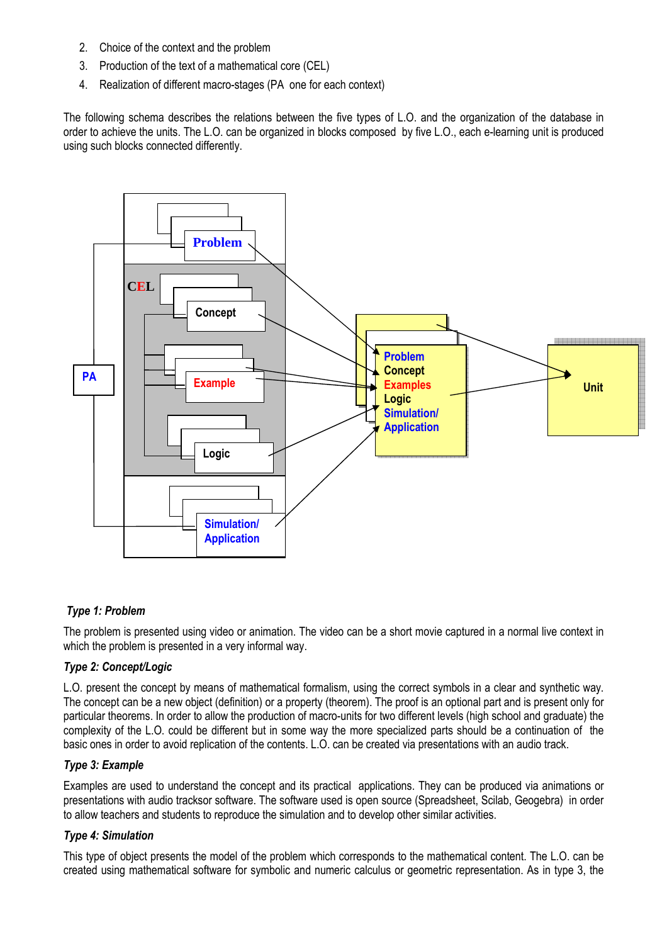- 2. Choice of the context and the problem
- 3. Production of the text of a mathematical core (CEL)
- 4. Realization of different macro-stages (PA one for each context)

The following schema describes the relations between the five types of L.O. and the organization of the database in order to achieve the units. The L.O. can be organized in blocks composed by five L.O., each e-learning unit is produced using such blocks connected differently.



## *Type 1: Problem*

The problem is presented using video or animation. The video can be a short movie captured in a normal live context in which the problem is presented in a very informal way.

#### *Type 2: Concept/Logic*

L.O. present the concept by means of mathematical formalism, using the correct symbols in a clear and synthetic way. The concept can be a new object (definition) or a property (theorem). The proof is an optional part and is present only for particular theorems. In order to allow the production of macro-units for two different levels (high school and graduate) the complexity of the L.O. could be different but in some way the more specialized parts should be a continuation of the basic ones in order to avoid replication of the contents. L.O. can be created via presentations with an audio track.

#### *Type 3: Example*

Examples are used to understand the concept and its practical applications. They can be produced via animations or presentations with audio tracksor software. The software used is open source (Spreadsheet, Scilab, Geogebra) in order to allow teachers and students to reproduce the simulation and to develop other similar activities.

#### *Type 4: Simulation*

This type of object presents the model of the problem which corresponds to the mathematical content. The L.O. can be created using mathematical software for symbolic and numeric calculus or geometric representation. As in type 3, the